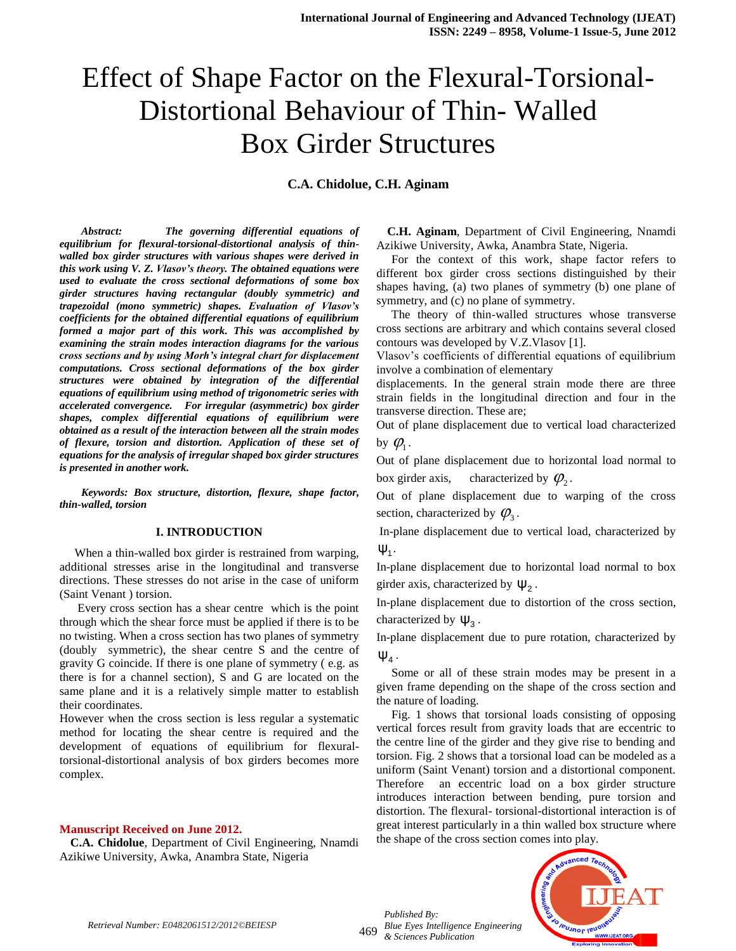# Effect of Shape Factor on the Flexural-Torsional-Distortional Behaviour of Thin- Walled Box Girder Structures

**C.A. Chidolue, C.H. Aginam**

*Abstract: The governing differential equations of equilibrium for flexural-torsional-distortional analysis of thinwalled box girder structures with various shapes were derived in this work using V. Z. Vlasov's theory. The obtained equations were used to evaluate the cross sectional deformations of some box girder structures having rectangular (doubly symmetric) and trapezoidal (mono symmetric) shapes. Evaluation of Vlasov's coefficients for the obtained differential equations of equilibrium formed a major part of this work. This was accomplished by examining the strain modes interaction diagrams for the various cross sections and by using Morh's integral chart for displacement computations. Cross sectional deformations of the box girder structures were obtained by integration of the differential equations of equilibrium using method of trigonometric series with accelerated convergence. For irregular (asymmetric) box girder shapes, complex differential equations of equilibrium were obtained as a result of the interaction between all the strain modes of flexure, torsion and distortion. Application of these set of equations for the analysis of irregular shaped box girder structures is presented in another work.*

*Keywords: Box structure, distortion, flexure, shape factor, thin-walled, torsion*

#### **I. INTRODUCTION**

 When a thin-walled box girder is restrained from warping, additional stresses arise in the longitudinal and transverse directions. These stresses do not arise in the case of uniform (Saint Venant ) torsion.

 Every cross section has a shear centre which is the point through which the shear force must be applied if there is to be no twisting. When a cross section has two planes of symmetry (doubly symmetric), the shear centre S and the centre of gravity G coincide. If there is one plane of symmetry ( e.g. as there is for a channel section), S and G are located on the same plane and it is a relatively simple matter to establish their coordinates.

However when the cross section is less regular a systematic method for locating the shear centre is required and the development of equations of equilibrium for flexuraltorsional-distortional analysis of box girders becomes more complex.

#### **Manuscript Received on June 2012.**

**C.A. Chidolue**, Department of Civil Engineering, Nnamdi Azikiwe University, Awka, Anambra State, Nigeria

**C.H. Aginam**, Department of Civil Engineering, Nnamdi Azikiwe University, Awka, Anambra State, Nigeria.

 For the context of this work, shape factor refers to different box girder cross sections distinguished by their shapes having, (a) two planes of symmetry (b) one plane of symmetry, and (c) no plane of symmetry.

 The theory of thin-walled structures whose transverse cross sections are arbitrary and which contains several closed contours was developed by V.Z.Vlasov [1].

Vlasov's coefficients of differential equations of equilibrium involve a combination of elementary

displacements. In the general strain mode there are three strain fields in the longitudinal direction and four in the transverse direction. These are;

Out of plane displacement due to vertical load characterized by  $\varphi_{\!\scriptscriptstyle 1}$ .

Out of plane displacement due to horizontal load normal to box girder axis, characterized by  $\varphi_2$ .

Out of plane displacement due to warping of the cross section, characterized by  $\varphi_3$ .

In-plane displacement due to vertical load, characterized by  $ψ<sub>1</sub>$ .

In-plane displacement due to horizontal load normal to box girder axis, characterized by  $\psi_2$ .

In-plane displacement due to distortion of the cross section, characterized by  $\Psi_3$ .

In-plane displacement due to pure rotation, characterized by  $\Psi_4$  .

 Some or all of these strain modes may be present in a given frame depending on the shape of the cross section and the nature of loading.

 Fig. 1 shows that torsional loads consisting of opposing vertical forces result from gravity loads that are eccentric to the centre line of the girder and they give rise to bending and torsion. Fig. 2 shows that a torsional load can be modeled as a uniform (Saint Venant) torsion and a distortional component. Therefore an eccentric load on a box girder structure introduces interaction between bending, pure torsion and distortion. The flexural- torsional-distortional interaction is of great interest particularly in a thin walled box structure where the shape of the cross section comes into play.



469 *Blue Eyes Intelligence Engineering Published By: & Sciences Publication* 

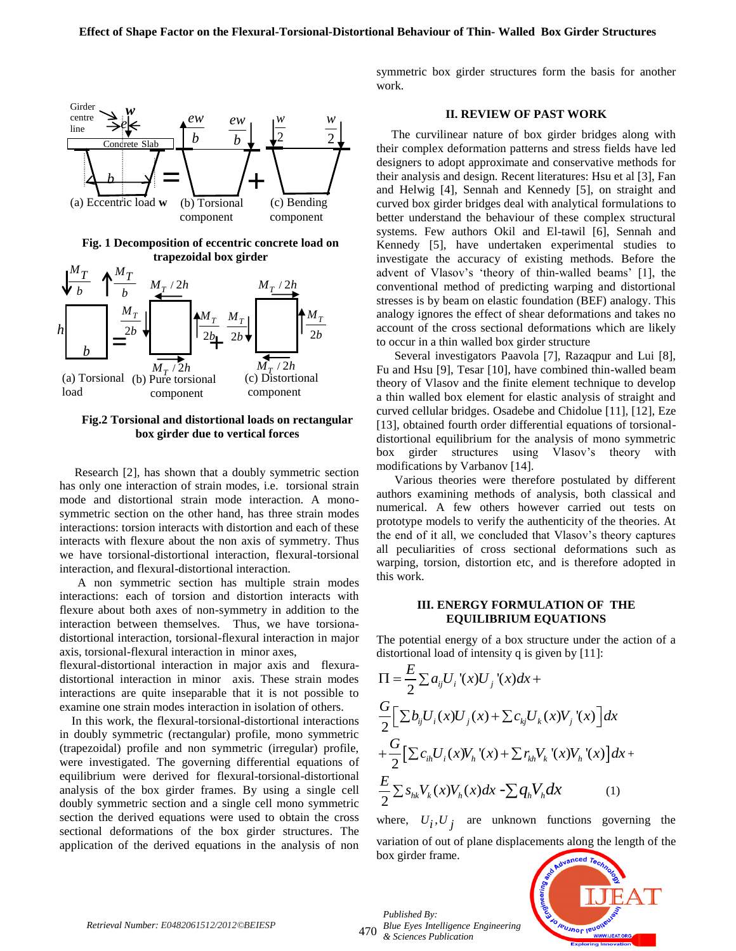

**Fig.2 Torsional and distortional loads on rectangular box girder due to vertical forces**

 Research [2], has shown that a doubly symmetric section has only one interaction of strain modes, i.e. torsional strain mode and distortional strain mode interaction. A monosymmetric section on the other hand, has three strain modes interactions: torsion interacts with distortion and each of these interacts with flexure about the non axis of symmetry. Thus we have torsional-distortional interaction, flexural-torsional interaction, and flexural-distortional interaction.

 A non symmetric section has multiple strain modes interactions: each of torsion and distortion interacts with flexure about both axes of non-symmetry in addition to the interaction between themselves. Thus, we have torsionadistortional interaction, torsional-flexural interaction in major axis, torsional-flexural interaction in minor axes,

flexural-distortional interaction in major axis and flexuradistortional interaction in minor axis. These strain modes interactions are quite inseparable that it is not possible to examine one strain modes interaction in isolation of others.

 In this work, the flexural-torsional-distortional interactions in doubly symmetric (rectangular) profile, mono symmetric (trapezoidal) profile and non symmetric (irregular) profile, were investigated. The governing differential equations of equilibrium were derived for flexural-torsional-distortional analysis of the box girder frames. By using a single cell doubly symmetric section and a single cell mono symmetric section the derived equations were used to obtain the cross sectional deformations of the box girder structures. The application of the derived equations in the analysis of non

symmetric box girder structures form the basis for another work.

#### **II. REVIEW OF PAST WORK**

 The curvilinear nature of box girder bridges along with their complex deformation patterns and stress fields have led designers to adopt approximate and conservative methods for their analysis and design. Recent literatures: Hsu et al [3], Fan and Helwig [4], Sennah and Kennedy [5], on straight and curved box girder bridges deal with analytical formulations to better understand the behaviour of these complex structural systems. Few authors Okil and El-tawil [6], Sennah and Kennedy [5], have undertaken experimental studies to investigate the accuracy of existing methods. Before the advent of Vlasov's 'theory of thin-walled beams' [1], the conventional method of predicting warping and distortional stresses is by beam on elastic foundation (BEF) analogy. This analogy ignores the effect of shear deformations and takes no account of the cross sectional deformations which are likely to occur in a thin walled box girder structure

 Several investigators Paavola [7], Razaqpur and Lui [8], Fu and Hsu [9], Tesar [10], have combined thin-walled beam theory of Vlasov and the finite element technique to develop a thin walled box element for elastic analysis of straight and curved cellular bridges. Osadebe and Chidolue [11], [12], Eze [13], obtained fourth order differential equations of torsionaldistortional equilibrium for the analysis of mono symmetric box girder structures using Vlasov's theory with modifications by Varbanov [14].

 Various theories were therefore postulated by different authors examining methods of analysis, both classical and numerical. A few others however carried out tests on prototype models to verify the authenticity of the theories. At the end of it all, we concluded that Vlasov's theory captures all peculiarities of cross sectional deformations such as warping, torsion, distortion etc, and is therefore adopted in this work.

#### **III. ENERGY FORMULATION OF THE EQUILIBRIUM EQUATIONS**

The potential energy of a box structure under the action of a distortional load of intensity q is given by [11]:

$$
\Pi = \frac{E}{2} \sum a_{ij} U_i (x) U_j (x) dx +
$$
\n
$$
\frac{G}{2} \Big[ \sum b_{ij} U_i (x) U_j (x) + \sum c_{kj} U_k (x) V_j (x) \Big] dx
$$
\n
$$
+ \frac{G}{2} \Big[ \sum c_{ih} U_i (x) V_h (x) + \sum r_{kh} V_k (x) V_h (x) \Big] dx +
$$
\n
$$
\frac{E}{2} \sum s_{hk} V_k (x) V_h (x) dx - \sum q_h V_h dx \qquad (1)
$$

where,  $U_i, U_j$  are unknown functions governing the variation of out of plane displacements along the length of the box girder frame.

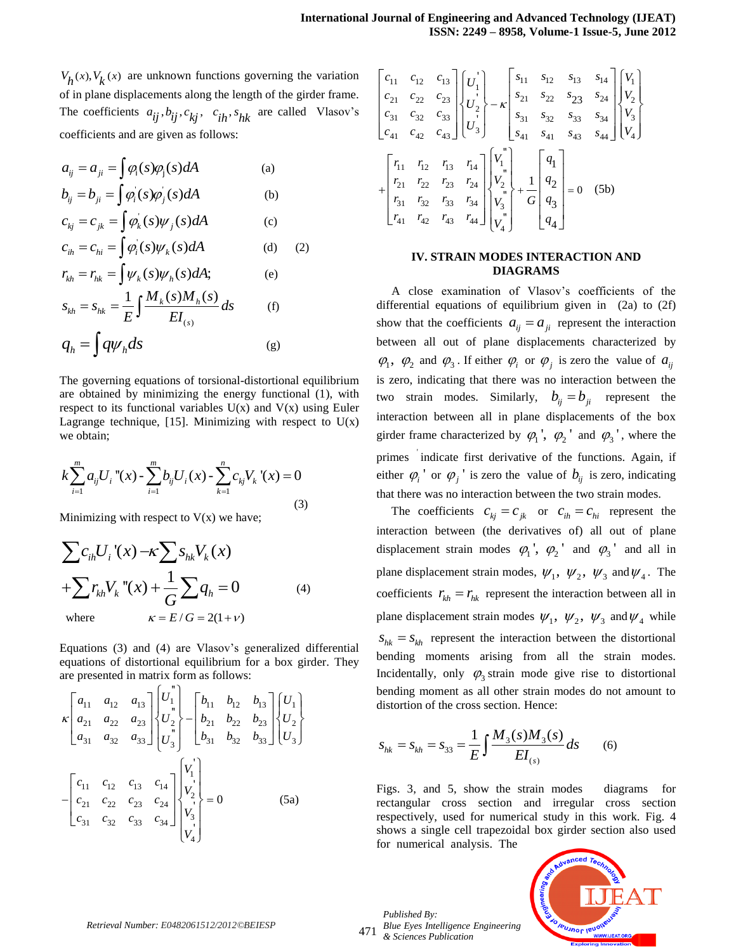$V_h(x)$ ,  $V_k(x)$  are unknown functions governing the variation of in plane displacements along the length of the girder frame. The coefficients  $a_{ij}$ ,  $b_{ij}$ ,  $c_{kj}$ ,  $c_{ih}$ ,  $s_{hk}$  are called Vlasov's coefficients and are given as follows:

$$
a_{ij} = a_{ji} = \int \varphi_i(s)\varphi_j(s)dA
$$
 (a)  
\n
$$
b_{ij} = b_{ji} = \int \varphi_i(s)\varphi_j(s)dA
$$
 (b)  
\n
$$
c_{kj} = c_{jk} = \int \varphi_k(s)\psi_j(s)dA
$$
 (c)  
\n
$$
c_{ih} = c_{hi} = \int \varphi_i(s)\psi_k(s)dA
$$
 (d)  
\n
$$
r_{kh} = r_{hk} = \int \psi_k(s)\psi_h(s)dA;
$$
 (e)  
\n
$$
s_{kh} = s_{hk} = \frac{1}{E}\int \frac{M_k(s)M_h(s)}{EI_{(s)}}ds
$$
 (f)  
\n
$$
q_h = \int q\psi_h ds
$$
 (g)

The governing equations of torsional-distortional equilibrium are obtained by minimizing the energy functional (1), with respect to its functional variables  $U(x)$  and  $V(x)$  using Euler Lagrange technique, [15]. Minimizing with respect to  $U(x)$ we obtain;

we obtain;  
\n
$$
k \sum_{i=1}^{m} a_{ij} U_i \text{''}(x) - \sum_{i=1}^{m} b_{ij} U_i(x) - \sum_{k=1}^{n} c_{kj} V_k \text{''}(x) = 0
$$
\n(3)

Minimizing with respect to V(x) we have;  
\n
$$
\sum c_{ih} U_i'(x) - \kappa \sum s_{hk} V_k(x)
$$
\n
$$
+ \sum r_{kh} V_k''(x) + \frac{1}{G} \sum q_h = 0
$$
\n(4)  
\nwhere  
\n
$$
\kappa = E/G = 2(1+\nu)
$$

Equations (3) and (4) are Vlasov's generalized differential equations of distortional equilibrium for a box girder. They

equations of a isotational equilibrium for a box greater.  
\nare presented in matrix form as follows:  
\n
$$
\kappa \begin{bmatrix} a_{11} & a_{12} & a_{13} \ a_{21} & a_{22} & a_{23} \ a_{31} & a_{32} & a_{33} \end{bmatrix} \begin{bmatrix} U_1^{\dagger} \\ U_2^{\dagger} \\ U_3^{\dagger} \end{bmatrix} = \begin{bmatrix} b_{11} & b_{12} & b_{13} \ b_{21} & b_{22} & b_{23} \ b_{31} & b_{32} & b_{33} \end{bmatrix} \begin{bmatrix} U_1 \\ U_2 \\ U_3 \end{bmatrix}
$$
\n
$$
= \begin{bmatrix} c_{11} & c_{12} & c_{13} & c_{14} \ c_{21} & c_{22} & c_{23} & c_{24} \ c_{31} & c_{32} & c_{33} & c_{34} \end{bmatrix} \begin{bmatrix} V_1 \\ V_2 \\ V_3 \\ V_4 \end{bmatrix} = 0
$$
\n(5a)

$$
\begin{bmatrix} c_{11} & c_{12} & c_{13} \ c_{21} & c_{22} & c_{23} \ c_{31} & c_{32} & c_{33} \ \end{bmatrix} \begin{bmatrix} U_1' \\ U_2' \\ U_3' \end{bmatrix} - \kappa \begin{bmatrix} s_{11} & s_{12} & s_{13} & s_{14} \ s_{21} & s_{22} & s_{23} & s_{24} \ s_{31} & s_{32} & s_{33} & s_{34} \ s_{41} & s_{41} & s_{43} & s_{44} \ \end{bmatrix} \begin{bmatrix} V_1 \\ V_2 \\ V_3 \end{bmatrix}
$$

$$
+ \begin{bmatrix} r_{11} & r_{12} & r_{13} & r_{14} \ r_{21} & r_{22} & r_{23} & r_{24} \ r_{31} & r_{32} & r_{33} & r_{34} \ r_{41} & r_{42} & r_{43} & r_{44} \ \end{bmatrix} \begin{bmatrix} V_1^{\prime} \\ V_2^{\prime} \\ V_3^{\prime} \end{bmatrix} + \frac{1}{G} \begin{bmatrix} q_1 \\ q_2 \\ q_3 \\ q_4 \end{bmatrix} = 0 \quad (5b)
$$

#### **IV. STRAIN MODES INTERACTION AND DIAGRAMS**

 A close examination of Vlasov's coefficients of the differential equations of equilibrium given in (2a) to (2f) show that the coefficients  $a_{ij} = a_{ji}$  represent the interaction between all out of plane displacements characterized by  $\varphi_1$ ,  $\varphi_2$  and  $\varphi_3$ . If either  $\varphi_i$  or  $\varphi_j$  is zero the value of  $a_{ij}$ is zero, indicating that there was no interaction between the two strain modes. Similarly,  $b_{ij} = b_{ji}$  represent the interaction between all in plane displacements of the box girder frame characterized by  $\varphi_1$ <sup>'</sup>,  $\varphi_2$ <sup>'</sup> and  $\varphi_3$ <sup>'</sup>, where the primes ' indicate first derivative of the functions. Again, if either  $\varphi_i$ <sup>'</sup> or  $\varphi_j$ <sup>'</sup> is zero the value of  $b_{ij}$  is zero, indicating that there was no interaction between the two strain modes.

The coefficients  $c_{kj} = c_{jk}$  or  $c_{ih} = c_{hi}$  represent the interaction between (the derivatives of) all out of plane displacement strain modes  $\varphi_1$ ',  $\varphi_2$ ' and  $\varphi_3$ ' and all in plane displacement strain modes,  $\psi_1$ ,  $\psi_2$ ,  $\psi_3$  and  $\psi_4$ . The coefficients  $r_{kh} = r_{hk}$  represent the interaction between all in plane displacement strain modes  $\psi_1$ ,  $\psi_2$ ,  $\psi_3$  and  $\psi_4$  while  $S_{hk} = S_{kh}$  represent the interaction between the distortional bending moments arising from all the strain modes. Incidentally, only  $\varphi_3$  strain mode give rise to distortional bending moment as all other strain modes do not amount to distortion of the cross section. Hence:

$$
S_{hk} = S_{kh} = S_{33} = \frac{1}{E} \int \frac{M_3(s)M_3(s)}{EI_{(s)}} ds
$$
 (6)

Figs. 3, and 5, show the strain modes diagrams for rectangular cross section and irregular cross section respectively, used for numerical study in this work. Fig. 4 shows a single cell trapezoidal box girder section also used for numerical analysis. The



471 *Blue Eyes Intelligence Engineering Published By: & Sciences Publication*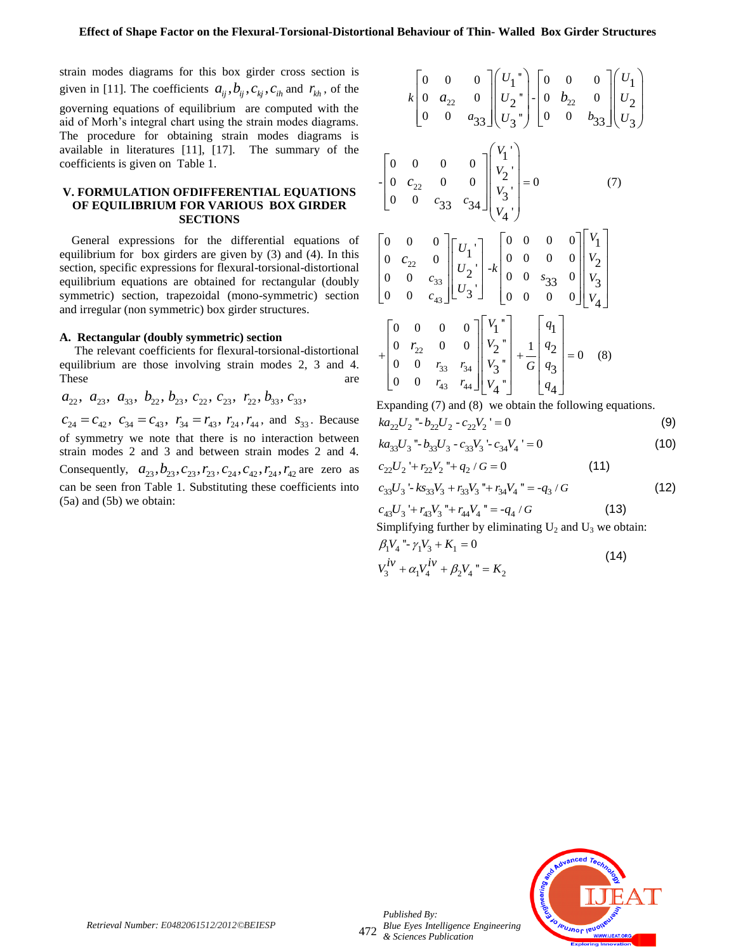strain modes diagrams for this box girder cross section is given in [11]. The coefficients  $a_{ij}, b_{ij}, c_{kj}, c_{ih}$  and  $r_{kh}$ , of the governing equations of equilibrium are computed with the aid of Morh's integral chart using the strain modes diagrams. The procedure for obtaining strain modes diagrams is available in literatures [11], [17]. The summary of the coefficients is given on Table 1.

#### **V. FORMULATION OFDIFFERENTIAL EQUATIONS OF EQUILIBRIUM FOR VARIOUS BOX GIRDER SECTIONS**

 General expressions for the differential equations of equilibrium for box girders are given by (3) and (4). In this section, specific expressions for flexural-torsional-distortional equilibrium equations are obtained for rectangular (doubly symmetric) section, trapezoidal (mono-symmetric) section and irregular (non symmetric) box girder structures.

#### **A. Rectangular (doubly symmetric) section**

 The relevant coefficients for flexural-torsional-distortional equilibrium are those involving strain modes 2, 3 and 4. These are are a set of  $\alpha$  are a set of  $\alpha$  are a set of  $\alpha$  and  $\alpha$  are a set of  $\alpha$  and  $\alpha$  are a set of  $\alpha$  and  $\alpha$  and  $\alpha$  are a set of  $\alpha$  and  $\alpha$  and  $\alpha$  are a set of  $\alpha$  and  $\alpha$  and  $\alpha$  are a set of

 $a_{22}, a_{23}, a_{33}, b_{22}, b_{23}, c_{22}, c_{23}, r_{22}, b_{33}, c_{33},$ 

 $c_{24} = c_{42}, c_{34} = c_{43}, r_{34} = r_{43}, r_{24}, r_{44}, \text{ and } s_{33}.$  Because of symmetry we note that there is no interaction between strain modes 2 and 3 and between strain modes 2 and 4. Consequently,  $a_{23}, b_{23}, c_{23}, r_{23}, c_{24}, c_{42}, r_{24}, r_{42}$  are zero as can be seen fron Table 1. Substituting these coefficients into (5a) and (5b) we obtain:

$$
k\begin{bmatrix} 0 & 0 & 0 \\ 0 & a_{22} & 0 \\ 0 & 0 & a_{33} \end{bmatrix} \begin{bmatrix} U_1 \\ U_2 \\ U_3 \end{bmatrix} - \begin{bmatrix} 0 & 0 & 0 \\ 0 & b_{22} & 0 \\ 0 & 0 & b_{33} \end{bmatrix} \begin{bmatrix} U_1 \\ U_2 \\ U_3 \end{bmatrix}
$$
  
\n
$$
- \begin{bmatrix} 0 & 0 & 0 & 0 \\ 0 & c_{22} & 0 & 0 \\ 0 & 0 & c_{33} & c_{34} \end{bmatrix} \begin{bmatrix} V_1 \\ V_2 \\ V_3 \\ V_4 \end{bmatrix} = 0
$$
(7)  
\n
$$
\begin{bmatrix} 0 & 0 & 0 \\ 0 & c_{22} & 0 \\ 0 & 0 & c_{33} \\ 0 & 0 & c_{33} \end{bmatrix} \begin{bmatrix} U_1 \\ U_2 \\ U_2 \\ U_3 \end{bmatrix} - k \begin{bmatrix} 0 & 0 & 0 & 0 \\ 0 & 0 & 0 & 0 \\ 0 & 0 & 0 & 0 \\ 0 & 0 & 0 & 0 \end{bmatrix} \begin{bmatrix} V_1 \\ V_2 \\ V_3 \\ V_4 \end{bmatrix}
$$
  
\n
$$
+ \begin{bmatrix} 0 & 0 & 0 & 0 \\ 0 & r_{22} & 0 & 0 \\ 0 & 0 & r_{33} & r_{34} \\ 0 & 0 & r_{43} & r_{44} \end{bmatrix} \begin{bmatrix} V_1 \\ V_2 \\ V_3 \\ V_4 \end{bmatrix} + \frac{1}{G} \begin{bmatrix} q_1 \\ q_2 \\ q_3 \\ q_4 \end{bmatrix} = 0
$$
(8)

Expanding (7) and (8) we obtain the following equations.

$$
ka_{22}U_2 - b_{22}U_2 - c_{22}V_2 = 0
$$
 (9)

$$
ka_{33}U_3 - b_{33}U_3 - c_{33}V_3 - c_{34}V_4 = 0
$$
\n(10)

$$
c_{22}U_2 + r_{22}V_2 + q_2 / G = 0 \tag{11}
$$

$$
c_{33}U_3 - k s_{33}V_3 + r_{33}V_3'' + r_{34}V_4'' = -q_3 / G
$$
 (12)

$$
c_{43}U_3 + r_{43}V_3 + r_{44}V_4 = -q_4 / G \tag{13}
$$

Simplifying further by eliminating  $U_2$  and  $U_3$  we obtain:  $\beta_1 V_4$  "-  $\gamma_1 V_3 + K_1 = 0$  $V_3^{iv} + \alpha_1 V_4^{iv} + \beta_2 V_4$  " = K<sub>2</sub>  $(14)$ 



472 *Blue Eyes Intelligence Engineering Published By: & Sciences Publication*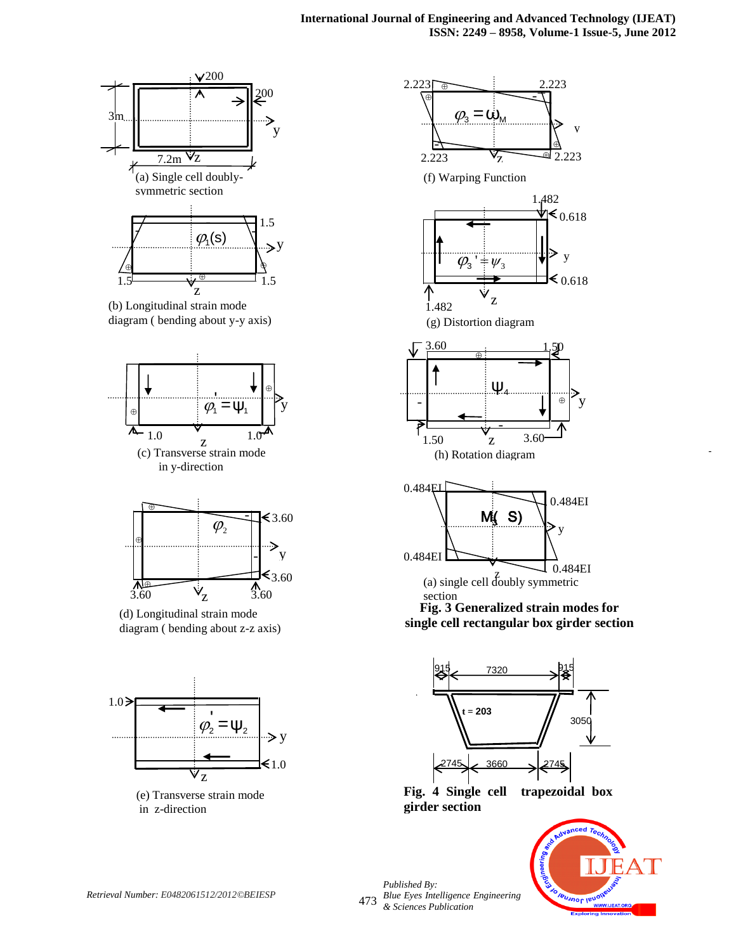



(b) Longitudinal strain mode diagram ( bending about y-y axis)





(d) Longitudinal strain mode diagram ( bending about z-z axis)



(e) Transverse strain mode in z-direction





**Fig. 4 Single cell trapezoidal box girder section** 



-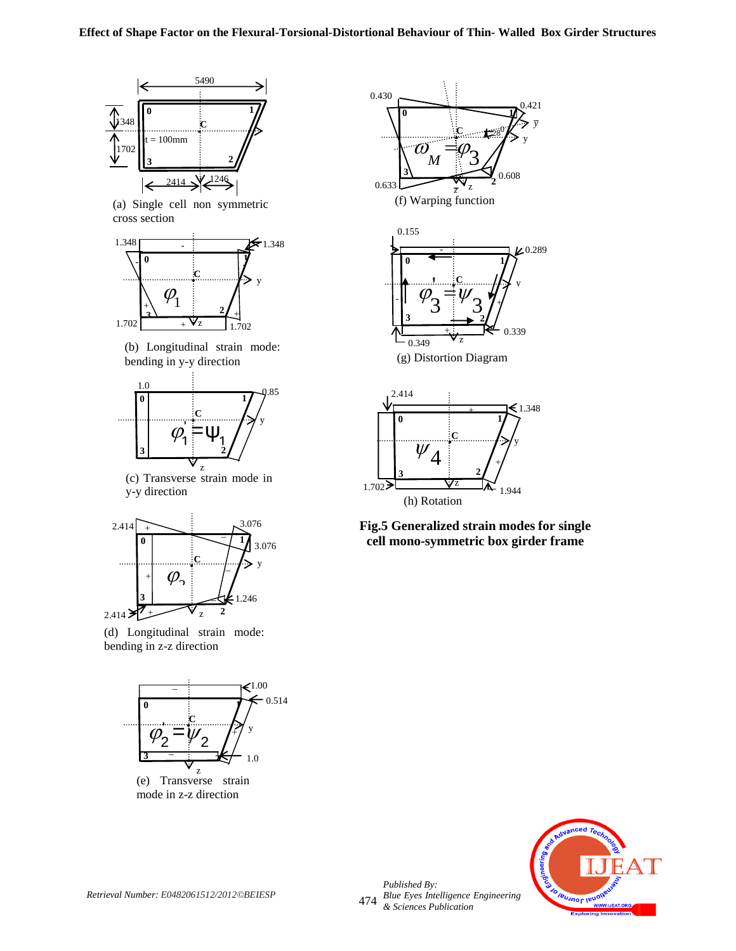

(a) Single cell non symmetric cross section



(b) Longitudinal strain mode: bending in y-y direction



(c) Transverse strain mode in y-y direction



(d) Longitudinal strain mode: bending in z-z direction



(e) Transverse strain mode in z-z direction



**Fig.5 Generalized strain modes for single cell mono-symmetric box girder frame**

(h) Rotation

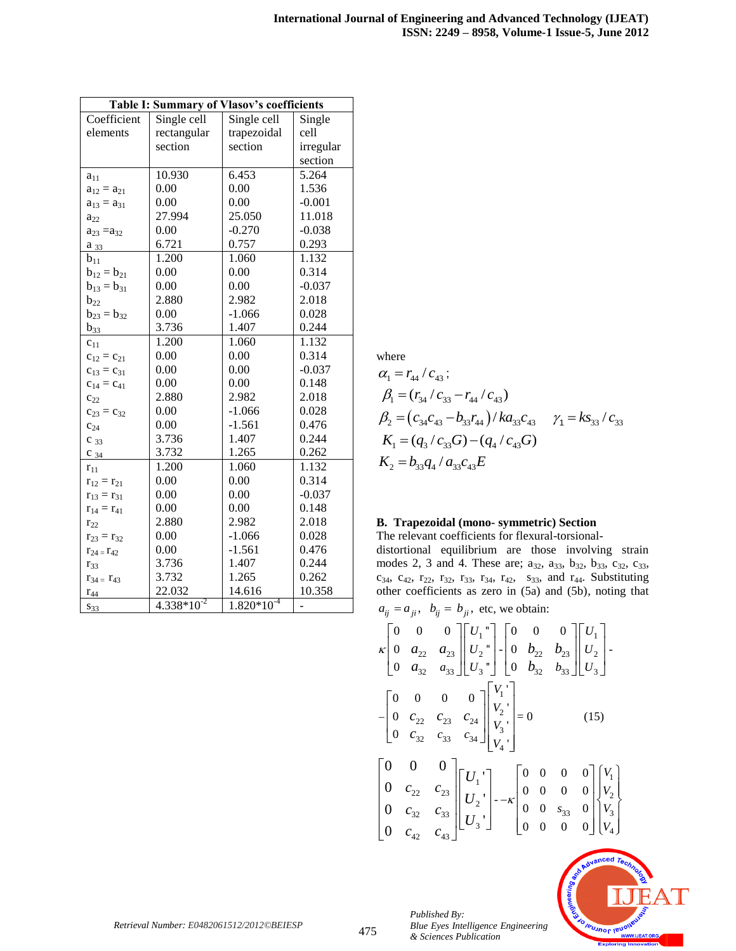| Table I: Summary of Vlasov's coefficients |                 |                 |           |
|-------------------------------------------|-----------------|-----------------|-----------|
| Coefficient                               | Single cell     | Single cell     | Single    |
| elements                                  | rectangular     | trapezoidal     | cell      |
|                                           | section         | section         | irregular |
|                                           |                 |                 | section   |
| $a_{11}$                                  | 10.930          | 6.453           | 5.264     |
| $a_{12} = a_{21}$                         | 0.00            | 0.00            | 1.536     |
| $a_{13} = a_{31}$                         | 0.00            | 0.00            | $-0.001$  |
| $a_{22}$                                  | 27.994          | 25.050          | 11.018    |
| $a_{23} = a_{32}$                         | 0.00            | $-0.270$        | $-0.038$  |
| $a_{33}$                                  | 6.721           | 0.757           | 0.293     |
| $b_{11}$                                  | 1.200           | 1.060           | 1.132     |
| $b_{12} = b_{21}$                         | 0.00            | 0.00            | 0.314     |
| $b_{13} = b_{31}$                         | 0.00            | 0.00            | $-0.037$  |
| $b_{22}$                                  | 2.880           | 2.982           | 2.018     |
| $b_{23} = b_{32}$                         | 0.00            | $-1.066$        | 0.028     |
| $b_{33}$                                  | 3.736           | 1.407           | 0.244     |
| $c_{11}$                                  | 1.200           | 1.060           | 1.132     |
| $c_{12} = c_{21}$                         | 0.00            | 0.00            | 0.314     |
| $c_{13} = c_{31}$                         | 0.00            | 0.00            | $-0.037$  |
| $c_{14} = c_{41}$                         | 0.00            | 0.00            | 0.148     |
| $c_{22}$                                  | 2.880           | 2.982           | 2.018     |
| $c_{23} = c_{32}$                         | 0.00            | $-1.066$        | 0.028     |
| $c_{24}$                                  | 0.00            | $-1.561$        | 0.476     |
| $C_{33}$                                  | 3.736           | 1.407           | 0.244     |
| $C_{34}$                                  | 3.732           | 1.265           | 0.262     |
| $r_{11}$                                  | 1.200           | 1.060           | 1.132     |
| $r_{12} = r_{21}$                         | 0.00            | 0.00            | 0.314     |
| $r_{13} = r_{31}$                         | 0.00            | 0.00            | $-0.037$  |
| $r_{14} = r_{41}$                         | 0.00            | 0.00            | 0.148     |
| $r_{22}$                                  | 2.880           | 2.982           | 2.018     |
| $r_{23} = r_{32}$                         | 0.00            | $-1.066$        | 0.028     |
| $r_{24} = r_{42}$                         | 0.00            | $-1.561$        | 0.476     |
| $r_{33}$                                  | 3.736           | 1.407           | 0.244     |
| $r_{34} = r_{43}$                         | 3.732           | 1.265           | 0.262     |
| $r_{44}$                                  | 22.032          | 14.616          | 10.358    |
| $S_{33}$                                  | $4.338*10^{-2}$ | $1.820*10^{-4}$ |           |

where

$$
\alpha_1 = r_{44} / c_{43};
$$
\n
$$
\beta_1 = (r_{34} / c_{33} - r_{44} / c_{43})
$$
\n
$$
\beta_2 = (c_{34}c_{43} - b_{33}r_{44}) / ka_{33}c_{43} \quad \gamma_1 = ks_{33} / c_{33}
$$
\n
$$
K_1 = (q_3 / c_{33}G) - (q_4 / c_{43}G)
$$
\n
$$
K_2 = b_{33}q_4 / a_{33}c_{43}E
$$

## **B. Trapezoidal (mono- symmetric) Section**

The relevant coefficients for flexural-torsionaldistortional equilibrium are those involving strain modes 2, 3 and 4. These are;  $a_{32}$ ,  $a_{33}$ ,  $b_{32}$ ,  $b_{33}$ ,  $c_{32}$ ,  $c_{33}$ ,  $c_{34}$ ,  $c_{42}$ ,  $r_{22}$ ,  $r_{32}$ ,  $r_{33}$ ,  $r_{34}$ ,  $r_{42}$ ,  $s_{33}$ , and  $r_{44}$ . Substituting other coefficients as zero in (5a) and (5b), noting that  $a_{ii} = a_{ii}$ ,  $b_{ii} = b_{ii}$ , etc, we obtain:

$$
\kappa \begin{bmatrix} 0 & 0 & 0 \\ 0 & a_{22} & a_{23} \\ 0 & a_{32} & a_{33} \end{bmatrix} \begin{bmatrix} U_1 \\ U_2 \\ U_3 \end{bmatrix} = \begin{bmatrix} 0 & 0 & 0 \\ 0 & b_{22} & b_{23} \\ 0 & b_{32} & b_{33} \end{bmatrix} \begin{bmatrix} U_1 \\ U_2 \\ U_3 \end{bmatrix}.
$$
  
\n
$$
= \begin{bmatrix} 0 & 0 & 0 & 0 \\ 0 & c_{22} & c_{23} & c_{24} \\ 0 & c_{32} & c_{33} & c_{34} \end{bmatrix} \begin{bmatrix} V_1 \\ V_2 \\ V_3 \\ V_4 \end{bmatrix} = 0
$$
 (15)  
\n
$$
\begin{bmatrix} 0 & 0 & 0 \\ 0 & c_{22} & c_{23} \\ 0 & c_{22} & c_{23} \\ 0 & c_{32} & c_{33} \\ 0 & c_{32} & c_{33} \end{bmatrix} \begin{bmatrix} U_1 \\ U_2 \\ U_3 \end{bmatrix} = -\kappa \begin{bmatrix} 0 & 0 & 0 & 0 \\ 0 & 0 & 0 & 0 \\ 0 & 0 & s_{33} & 0 \\ 0 & 0 & 0 & 0 \end{bmatrix} \begin{bmatrix} V_1 \\ V_2 \\ V_2 \\ V_3 \end{bmatrix}
$$



*Published By:*

*& Sciences Publication* 

*Blue Eyes Intelligence Engineering*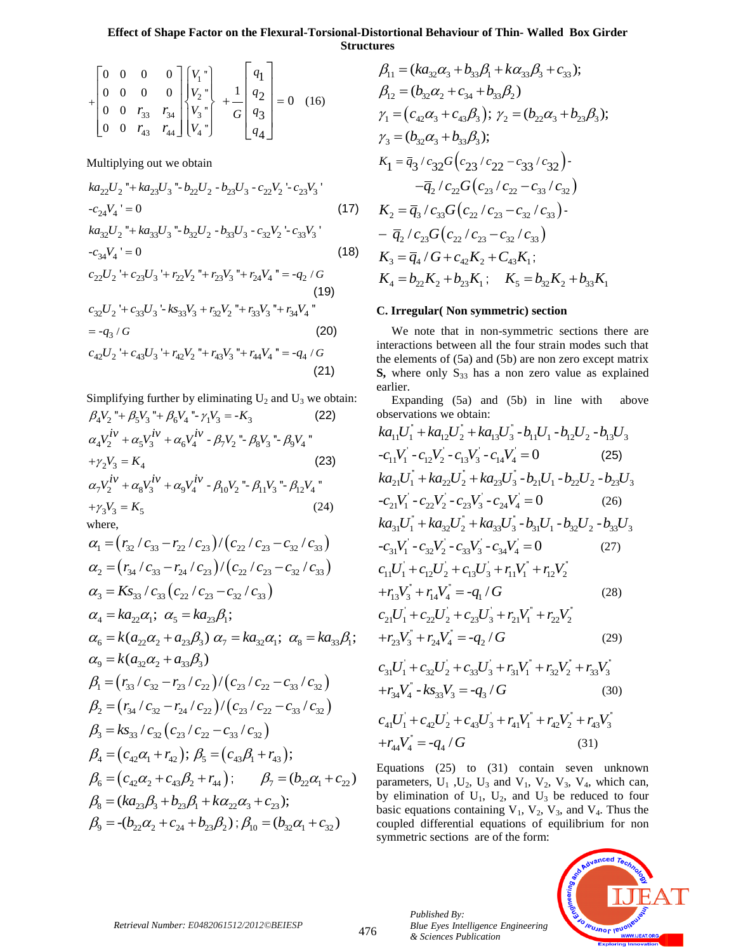### **Effect of Shape Factor on the Flexural-Torsional-Distortional Behaviour of Thin- Walled Box Girder Structures**

$$
+\begin{bmatrix} 0 & 0 & 0 & 0 \ 0 & 0 & 0 & 0 \ 0 & 0 & r_{33} & r_{34} \ 0 & 0 & r_{43} & r_{44} \ \end{bmatrix} \begin{bmatrix} V_1 \\ V_2 \\ V_3 \\ V_4 \end{bmatrix} + \frac{1}{G} \begin{bmatrix} q_1 \\ q_2 \\ q_3 \\ q_4 \end{bmatrix} = 0 \quad (16)
$$

Multiplying out we obtain

$$
ka_{22}U_2" + ka_{23}U_3" - b_{22}U_2 - b_{23}U_3 - c_{22}V_2' - c_{23}V_3'
$$
  
-c<sub>24</sub>V<sub>4</sub>' = 0 (17)  

$$
ka_{32}U_2" + ka_{33}U_3" - b_{32}U_2 - b_{33}U_3 - c_{32}V_2' - c_{33}V_3'
$$

$$
-c_{34}V_4 = 0
$$
\n
$$
c_{22}U_2 + c_{23}U_3 + r_{22}V_2 + r_{23}V_3 + r_{24}V_4 = -q_2 / G
$$
\n(18)

(19)  
\n
$$
c_{32}U_2 + c_{33}U_3 - k s_{33}V_3 + r_{32}V_2 + r_{33}V_3 + r_{34}V_4
$$
\n
$$
= -q_3/G
$$
\n(20)  
\n
$$
c_{42}U_2 + c_{43}U_3 + r_{42}V_2 + r_{43}V_3 + r_{44}V_4 = -q_4/G
$$
\n(21)

Simplifying further by eliminating  $U_2$  and  $U_3$  we obtain:  $\beta_4 V_2$  "+  $\beta_5 V_3$  "+  $\beta_6 V_4$  "-  $\gamma_1 V_3$  = - $K_3$  (22)

$$
\beta_4 V_2^{\ \ \ \pi} + \beta_5 V_3^{\ \ \pi} + \beta_6 V_4^{\ \ \pi} - \gamma_1 V_3 = -K_3 \tag{22}
$$
\n
$$
\alpha_4 V_2^{iv} + \alpha_5 V_3^{iv} + \alpha_6 V_4^{iv} - \beta_7 V_2^{\ \ \pi} - \beta_8 V_3^{\ \ \pi} - \beta_9 V_4^{\ \ \pi}
$$
\n
$$
+ \gamma_2 V_3 = K_4 \tag{23}
$$
\n
$$
\alpha_7 V_2^{iv} + \alpha_8 V_3^{iv} + \alpha_9 V_4^{iv} - \beta_{10} V_2^{\ \ \pi} - \beta_{11} V_3^{\ \ \pi} - \beta_{12} V_4^{\ \ \pi}
$$
\n
$$
+ \gamma_3 V_3 = K_5 \tag{24}
$$

where,

$$
a_1 = (r_{32}/c_{33} - r_{22}/c_{23})/(c_{22}/c_{23} - c_{32}/c_{33})
$$
  
\n
$$
\alpha_2 = (r_{34}/c_{33} - r_{24}/c_{23})/(c_{22}/c_{23} - c_{32}/c_{33})
$$
  
\n
$$
\alpha_3 = Ks_{33}/c_{33}(c_{22}/c_{23} - c_{32}/c_{33})
$$
  
\n
$$
\alpha_4 = ka_{22}\alpha_1; \ \alpha_5 = ka_{23}\beta_1;
$$
  
\n
$$
\alpha_6 = k(a_{22}\alpha_2 + a_{23}\beta_3) \ \alpha_7 = ka_{32}\alpha_1; \ \alpha_8 = ka_{33}\beta_1;
$$
  
\n
$$
\alpha_9 = k(a_{32}\alpha_2 + a_{33}\beta_3)
$$
  
\n
$$
\beta_1 = (r_{33}/c_{32} - r_{23}/c_{22})/(c_{23}/c_{22} - c_{33}/c_{32})
$$
  
\n
$$
\beta_2 = (r_{34}/c_{32} - r_{24}/c_{22})/(c_{23}/c_{22} - c_{33}/c_{32})
$$
  
\n
$$
\beta_3 = ks_{33}/c_{32}(c_{23}/c_{22} - c_{33}/c_{32})
$$
  
\n
$$
\beta_4 = (c_{42}\alpha_1 + r_{42}); \ \beta_5 = (c_{43}\beta_1 + r_{43});
$$
  
\n
$$
\beta_6 = (c_{42}\alpha_2 + c_{43}\beta_2 + r_{44}); \ \beta_7 = (b_{22}\alpha_1 + c_{22})
$$
  
\n
$$
\beta_8 = (ka_{23}\beta_3 + b_{23}\beta_1 + ka_{22}\alpha_3 + c_{23});
$$
  
\n
$$
\beta_9 = -(b_{22}\alpha_2 + c_{24} + b_{23}\beta_2); \beta_{10} = (b_{32}\alpha_1 + c_{32})
$$

ures  
\n
$$
\beta_{11} = (ka_{32}\alpha_3 + b_{33}\beta_1 + k\alpha_{33}\beta_3 + c_{33});
$$
\n
$$
\beta_{12} = (b_{32}\alpha_2 + c_{34} + b_{33}\beta_2)
$$
\n
$$
\gamma_1 = (c_{42}\alpha_3 + c_{43}\beta_3); \gamma_2 = (b_{22}\alpha_3 + b_{23}\beta_3);
$$
\n
$$
\gamma_3 = (b_{32}\alpha_3 + b_{33}\beta_3);
$$
\n
$$
K_1 = \bar{q}_3 / c_{32}G(c_{23}/c_{22} - c_{33}/c_{32}) - \bar{q}_2 / c_{22}G(c_{23}/c_{22} - c_{33}/c_{32})
$$
\n
$$
K_2 = \bar{q}_3 / c_{33}G(c_{22}/c_{23} - c_{32}/c_{33}) - \bar{q}_2 / c_{23}G(c_{22}/c_{23} - c_{32}/c_{33})
$$
\n
$$
K_3 = \bar{q}_4 / G + c_{42}K_2 + C_{43}K_1;
$$
\n
$$
K_4 = b_{22}K_2 + b_{23}K_1; \quad K_5 = b_{32}K_2 + b_{33}K_1
$$

#### **C. Irregular( Non symmetric) section**

 We note that in non-symmetric sections there are interactions between all the four strain modes such that the elements of (5a) and (5b) are non zero except matrix  $S$ , where only  $S_{33}$  has a non zero value as explained earlier.

Expanding (5a) and (5b) in line with above observations we obtain:<br>  $k a_{11} U_1^{\dagger} + k a_{12} U_2^{\dagger} + k a_{13} U_3^{\dagger} - b_{11} U_1 - b_{12} U_2 - b_{13} U_3$ observations we obtain:<br> $ka_{\text{v}}U^{\dagger} + ka_{\text{v}}U^{\dagger} + ka_{\text{v}}U^{\dagger}$ 

$$
ka_{11}U_1 + ka_{12}U_2 + ka_{13}U_3 - b_{11}U_1 - b_{12}U_2 - b_{13}U_3
$$
  
\n
$$
-c_{11}V_1' - c_{12}V_2' - c_{13}V_3' - c_{14}V_4' = 0
$$
 (25)  
\n
$$
ka_{21}U_1'' + ka_{22}U_2' + ka_{23}U_3' - b_{21}U_1 - b_{22}U_2 - b_{23}U_3
$$
  
\n
$$
-c_{21}V_1' - c_{22}V_2' - c_{23}V_3' - c_{24}V_4' = 0
$$
 (26)  
\n
$$
ka_{31}U_1'' + ka_{32}U_2'' + ka_{33}U_3'' - b_{31}U_1 - b_{32}U_2 - b_{33}U_3
$$
  
\n
$$
-c_{31}V_1' - c_{32}V_2' - c_{33}V_3' - c_{34}V_4' = 0
$$
 (27)  
\n
$$
c_{11}U_1' + c_{12}U_2' + c_{13}U_3' + r_{11}V_1'' + r_{12}V_2''
$$
  
\n
$$
+r_{13}V_3'' + r_{14}V_4'' = -q_1/G
$$
 (28)  
\n
$$
c_{21}U_1' + c_{22}U_2' + c_{23}U_3' + r_{21}V_1'' + r_{22}V_2''
$$
 (29)

$$
+r_{23}V_{3}^{*} + r_{24}V_{4}^{*} = -q_{2}/G
$$
\n(29)\n
$$
c_{31}U_{1}^{'} + c_{32}U_{2}^{'} + c_{33}U_{3}^{'} + r_{31}V_{1}^{*} + r_{32}V_{2}^{*} + r_{33}V_{3}^{*}
$$

$$
c_{31}U_1 + c_{32}U_2 + c_{33}U_3 + r_{31}V_1 + r_{32}V_2 + r_{33}V_3
$$
  
+
$$
r_{34}V_4 - k s_{33}V_3 = -q_3/G
$$
 (30)

$$
+r_{34}V_4 - Ks_{33}V_3 = -q_3 / G
$$
\n
$$
c_{41}U_1 + c_{42}U_2 + c_{43}U_3 + r_{41}V_1 + r_{42}V_2 + r_{43}V_3
$$
\n
$$
+r_{44}V_4 = -q_4 / G
$$
\n(31)

Equations (25) to (31) contain seven unknown parameters,  $U_1$ ,  $U_2$ ,  $U_3$  and  $V_1$ ,  $V_2$ ,  $V_3$ ,  $V_4$ , which can, by elimination of  $U_1$ ,  $U_2$ , and  $U_3$  be reduced to four basic equations containing  $V_1$ ,  $V_2$ ,  $V_3$ , and  $V_4$ . Thus the coupled differential equations of equilibrium for non symmetric sections are of the form:

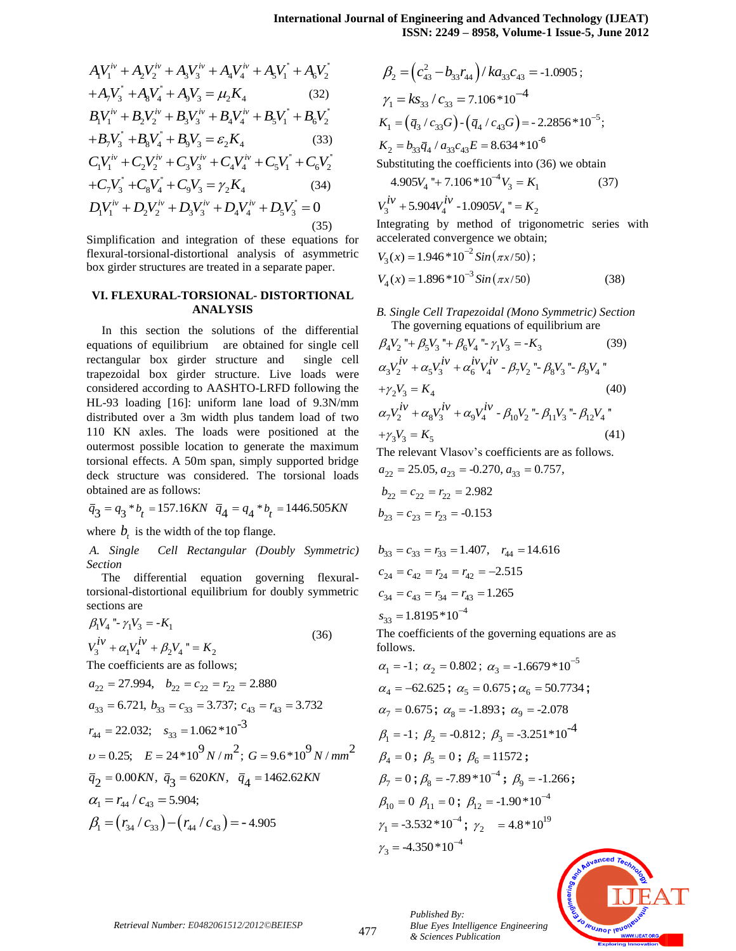$$
A_1V_1^{iv} + A_2V_2^{iv} + A_3V_3^{iv} + A_4V_4^{iv} + A_5V_1^* + A_6V_2^*
$$
  
+ $A_7V_3^* + A_8V_4^* + A_9V_3 = \mu_2K_4$  (32)  
 $B_1V_1^{iv} + B_2V_2^{iv} + B_3V_3^{iv} + B_4V_4^{iv} + B_5V_1^* + B_6V_2^*$   
+ $B_7V_3^* + B_8V_4^* + B_9V_3 = \varepsilon_2K_4$  (33)  
 $C_1V_1^{iv} + C_2V_2^{iv} + C_3V_3^{iv} + C_4V_4^{iv} + C_5V_1^* + C_6V_2^*$   
+ $C_7V_3^* + C_8V_4^* + C_9V_3 = \gamma_2K_4$  (34)  
 $D_1V_1^{iv} + D_2V_2^{iv} + D_3V_3^{iv} + D_4V_4^{iv} + D_5V_3^* = 0$  (35)

Simplification and integration of these equations for flexural-torsional-distortional analysis of asymmetric box girder structures are treated in a separate paper.

#### **VI. FLEXURAL-TORSIONAL- DISTORTIONAL ANALYSIS**

In this section the solutions of the differential equations of equilibrium are obtained for single cell rectangular box girder structure and single cell trapezoidal box girder structure. Live loads were considered according to AASHTO-LRFD following the HL-93 loading [16]: uniform lane load of 9.3N/mm distributed over a 3m width plus tandem load of two 110 KN axles. The loads were positioned at the outermost possible location to generate the maximum torsional effects. A 50m span, simply supported bridge deck structure was considered. The torsional loads obtained are as follows: <sup>2*r*</sup>  $+A_2V_3^m + A_3V_4^m + A_4V_1^m + A_5V_2^m$   $\beta_2 = (c_{10}^2 - b_3r_{41})$ <br>  $V_3^r + A_2V_4^m + A_3V_5^m + A_4V_1^m + A_5V_2^m$   $\beta_2 = (c_{10}^2 - b_3r_{41})$ <br>  $r_1^m + B_2V_2^m + B_3V_1^m + B_4V_1^m + B_5V_1^m + B_6V_2^m$  (33)  $K_1 = (\bar{q}_3 \cdot c_{13} - 5$ 

$$
\overline{q}_3 = q_3 * b_t = 157.16KN \quad \overline{q}_4 = q_4 * b_t = 1446.505KN
$$

where  $b_t$  is the width of the top flange.

*A. Single Cell Rectangular (Doubly Symmetric) Section*

 The differential equation governing flexuraltorsional-distortional equilibrium for doubly symmetric sections are

$$
\beta_1 V_4 \r - \gamma_1 V_3 = -K_1
$$
  
\n
$$
V_3^{iv} + \alpha_1 V_4^{iv} + \beta_2 V_4 \r = K_2
$$
\n(36)

The coefficients are as follows;  
\n
$$
a_{22} = 27.994
$$
,  $b_{22} = c_{22} = r_{22} = 2.880$   
\n $a_{33} = 6.721$ ,  $b_{33} = c_{33} = 3.737$ ;  $c_{43} = r_{43} = 3.732$   
\n $r_{44} = 22.032$ ;  $s_{33} = 1.062 * 10^{-3}$   
\n $v = 0.25$ ;  $E = 24 * 10^{9} N/m^{2}$ ;  $G = 9.6 * 10^{9} N/mm^{2}$   
\n $\overline{q}_{2} = 0.00KN$ ,  $\overline{q}_{3} = 620KN$ ,  $\overline{q}_{4} = 1462.62KN$   
\n $\alpha_{1} = r_{44} / c_{43} = 5.904$ ;  
\n $\beta_{1} = (r_{34} / c_{33}) - (r_{44} / c_{43}) = -4.905$ 

$$
\beta_2 = (c_{43}^2 - b_{33}r_{44})/ka_{33}c_{43} = -1.0905 ;
$$
  
\n
$$
\gamma_1 = ks_{33}/c_{33} = 7.106*10^{-4}
$$
  
\n
$$
K_1 = (\bar{q}_3/c_{33}G) \cdot (\bar{q}_4/c_{43}G) = -2.2856*10^{-5};
$$
  
\n
$$
K_2 = b_{33}\bar{q}_4/a_{33}c_{43}E = 8.634*10^{-6}
$$
  
\nSubstituting the coefficients into (36) we obtain

$$
4.905V_4 + 7.106 * 10^{-4}V_3 = K_1
$$
\n
$$
V_3^{iv} + 5.904V_4^{iv} - 1.0905V_4 = K_2
$$
\n(37)

Integrating by method of trigonometric series with accelerated convergence we obtain;

$$
V_3(x) = 1.946 * 10^{-2} Sin(\pi x/50);
$$
  
\n
$$
V_4(x) = 1.896 * 10^{-3} Sin(\pi x/50)
$$
\n(38)

*B. Single Cell Trapezoidal (Mono Symmetric) Section*

The governing equations of equilibrium are  
\n
$$
\beta_4 V_2
$$
 "+  $\beta_5 V_3$  "+  $\beta_6 V_4$  "-  $\gamma_1 V_3$  = -K<sub>3</sub> (39)  
\n $\alpha_3 V_2^{iv} + \alpha_5 V_3^{iv} + \alpha_6^{iv} V_4^{iv} - \beta_7 V_2$  "-  $\beta_8 V_3$  "-  $\beta_9 V_4$ "  
\n+ $\gamma_2 V_3$  = K<sub>4</sub> (40)  
\n $\alpha_7 V_2^{iv} + \alpha_8 V_3^{iv} + \alpha_9 V_4^{iv} - \beta_{10} V_2$  "-  $\beta_{11} V_3$  "-  $\beta_{12} V_4$ "  
\n+ $\gamma_3 V_3$  = K<sub>5</sub> (41)

The relevant Vlasov's coefficients are as follows.<br> $a_{22} = 25.05, a_{23} = -0.270, a_{33} = 0.757,$ the relevant Vlasov's coefficients are a<br>  $a_{22} = 25.05, a_{23} = -0.270, a_{33} = 0.757,$ 

$$
a_{22} = 25.05, a_{23} = -0.270,
$$
  
\n
$$
b_{22} = c_{22} = r_{22} = 2.982
$$
  
\n
$$
b_{23} = c_{23} = r_{23} = -0.153
$$

$$
b_{33} = c_{33} = r_{33} = 1.407
$$
,  $r_{44} = 14.616$   
\n $c_{24} = c_{42} = r_{24} = r_{42} = -2.515$   
\n $c_{34} = c_{43} = r_{34} = r_{43} = 1.265$   
\n $s_{33} = 1.8195 \times 10^{-4}$ 

The coefficients of the governing equations are as follows.

$$
\alpha_1 = -1; \ \alpha_2 = 0.802; \ \alpha_3 = -1.6679 * 10^{-5}
$$
\n
$$
\alpha_4 = -62.625; \ \alpha_5 = 0.675; \ \alpha_6 = 50.7734;
$$
\n
$$
\alpha_7 = 0.675; \ \alpha_8 = -1.893; \ \alpha_9 = -2.078
$$
\n
$$
\beta_1 = -1; \ \beta_2 = -0.812; \ \beta_3 = -3.251 * 10^{-4}
$$
\n
$$
\beta_4 = 0; \ \beta_5 = 0; \ \beta_6 = 11572;
$$
\n
$$
\beta_7 = 0; \ \beta_8 = -7.89 * 10^{-4}; \ \beta_9 = -1.266;
$$
\n
$$
\beta_{10} = 0 \ \beta_{11} = 0; \ \beta_{12} = -1.90 * 10^{-4}
$$
\n
$$
\gamma_1 = -3.532 * 10^{-4}; \ \gamma_2 = 4.8 * 10^{19}
$$
\n
$$
\gamma_3 = -4.350 * 10^{-4}
$$

*Blue Eyes Intelligence Engineering* 



*Published By:*

*& Sciences Publication*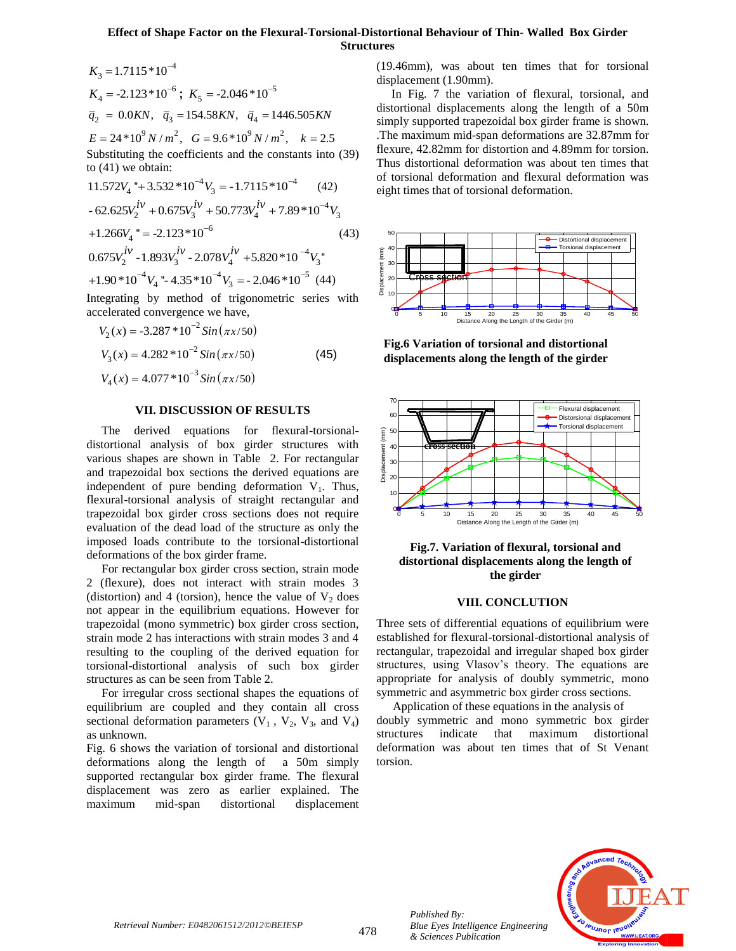### **Effect of Shape Factor on the Flexural-Torsional-Distortional Behaviour of Thin- Walled Box Girder Structures**

$$
K_3 = 1.7115 * 10^{-4}
$$
  
\n
$$
K_4 = -2.123 * 10^{-6}
$$
;  $K_5 = -2.046 * 10^{-5}$   
\n $\overline{q}_2 = 0.0KN$ ,  $\overline{q}_3 = 154.58KN$ ,  $\overline{q}_4 = 1446.505KN$   
\n $E = 24 * 10^9 N/m^2$ ,  $G = 9.6 * 10^9 N/m^2$ ,  $k = 2.5$   
\nSubstituting the coefficients and the constants into (39)  
\nto (41) we obtain:  
\n $11.572V_4$  "+3.532 \* 10<sup>-4</sup>V<sub>3</sub> = -1.7115 \* 10<sup>-4</sup> (42)  
\n-62.625V<sub>2</sub><sup>iv</sup> + 0.675V<sub>3</sub><sup>iv</sup> + 50.773V<sub>4</sub><sup>iv</sup> + 7.89 \* 10<sup>-4</sup>V<sub>3</sub>  
\n+1.266V<sub>4</sub> " = -2.123 \* 10<sup>-6</sup> (43)  
\n0.675V<sub>2</sub><sup>iv</sup> -1.893V<sub>3</sub><sup>iv</sup> -2.078V<sub>4</sub><sup>iv</sup> +5.820 \* 10<sup>-4</sup>V<sub>3</sub>  
\n+1.90 \* 10<sup>-4</sup>V<sub>4</sub> "-4.35 \* 10<sup>-4</sup>V<sub>3</sub> = -2.046 \* 10<sup>-5</sup> (44)  
\nIntegrating by method of trigonometric series with

accelerated convergence we have,

$$
V_2(x) = -3.287 * 10^{-2} Sin(\pi x/50)
$$
  
\n
$$
V_3(x) = 4.282 * 10^{-2} Sin(\pi x/50)
$$
  
\n
$$
V_4(x) = 4.077 * 10^{-3} Sin(\pi x/50)
$$
\n(45)

#### **VII. DISCUSSION OF RESULTS**

 The derived equations for flexural-torsionaldistortional analysis of box girder structures with various shapes are shown in Table 2. For rectangular and trapezoidal box sections the derived equations are independent of pure bending deformation  $V_1$ . Thus, flexural-torsional analysis of straight rectangular and trapezoidal box girder cross sections does not require evaluation of the dead load of the structure as only the imposed loads contribute to the torsional-distortional deformations of the box girder frame.

 For rectangular box girder cross section, strain mode 2 (flexure), does not interact with strain modes 3 (distortion) and 4 (torsion), hence the value of  $V_2$  does not appear in the equilibrium equations. However for trapezoidal (mono symmetric) box girder cross section, strain mode 2 has interactions with strain modes 3 and 4 resulting to the coupling of the derived equation for torsional-distortional analysis of such box girder structures as can be seen from Table 2.

 For irregular cross sectional shapes the equations of equilibrium are coupled and they contain all cross sectional deformation parameters  $(V_1, V_2, V_3,$  and  $V_4)$ as unknown.

Fig. 6 shows the variation of torsional and distortional deformations along the length of a 50m simply supported rectangular box girder frame. The flexural displacement was zero as earlier explained. The maximum mid-span distortional displacement (19.46mm), was about ten times that for torsional displacement (1.90mm).

 In Fig. 7 the variation of flexural, torsional, and distortional displacements along the length of a 50m simply supported trapezoidal box girder frame is shown. .The maximum mid-span deformations are 32.87mm for flexure, 42.82mm for distortion and 4.89mm for torsion. Thus distortional deformation was about ten times that of torsional deformation and flexural deformation was eight times that of torsional deformation.



**Fig.6 Variation of torsional and distortional displacements along the length of the girder**



### **Fig.7. Variation of flexural, torsional and distortional displacements along the length of the girder**

#### **VIII. CONCLUTION**

Three sets of differential equations of equilibrium were established for flexural-torsional-distortional analysis of rectangular, trapezoidal and irregular shaped box girder structures, using Vlasov's theory. The equations are appropriate for analysis of doubly symmetric, mono symmetric and asymmetric box girder cross sections.

 Application of these equations in the analysis of doubly symmetric and mono symmetric box girder structures indicate that maximum distortional deformation was about ten times that of St Venant torsion.



*Published By:*

*& Sciences Publication* 

*Blue Eyes Intelligence Engineering*